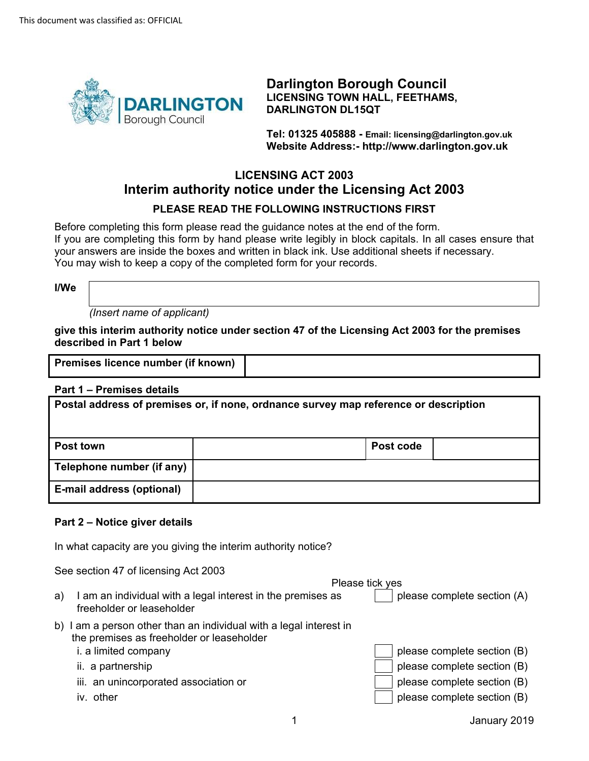

**Darlington Borough Council LICENSING TOWN HALL, FEETHAMS, DARLINGTON DL15QT** 

**Tel: 01325 405888 - Email: licensing@darlington.gov.uk Website Address:- <http://www.darlington.gov.uk>** 

# **LICENSING ACT 2003 Interim authority notice under the Licensing Act 2003 PLEASE READ THE FOLLOWING INSTRUCTIONS FIRST**

Before completing this form please read the guidance notes at the end of the form. If you are completing this form by hand please write legibly in block capitals. In all cases ensure that your answers are inside the boxes and written in black ink. Use additional sheets if necessary. You may wish to keep a copy of the completed form for your records.

**I/We** 

b)

*(Insert name of applicant)* 

**give this interim authority notice under section 47 of the Licensing Act 2003 for the premises described in Part 1 below** 

**Premises licence number (if known)** 

### **Part 1 – Premises details**

| .                                                                                    |  |           |  |  |  |  |  |  |
|--------------------------------------------------------------------------------------|--|-----------|--|--|--|--|--|--|
| Postal address of premises or, if none, ordnance survey map reference or description |  |           |  |  |  |  |  |  |
| <b>Post town</b>                                                                     |  | Post code |  |  |  |  |  |  |
| Telephone number (if any)                                                            |  |           |  |  |  |  |  |  |
| E-mail address (optional)                                                            |  |           |  |  |  |  |  |  |

### **Part 2 – Notice giver details**

In what capacity are you giving the interim authority notice?

See section 47 of licensing Act 2003

Please tick yes

| I am an individual with a legal interest in the premises as<br>a)<br>freeholder or leaseholder                  | please complete section (A) |
|-----------------------------------------------------------------------------------------------------------------|-----------------------------|
| b) I am a person other than an individual with a legal interest in<br>the premises as freeholder or leaseholder |                             |
| i. a limited company                                                                                            | please complete section (B) |
| ii. a partnership                                                                                               | please complete section (B) |
| iii. an unincorporated association or                                                                           | please complete section (B) |
| iv. other                                                                                                       | please complete section (B) |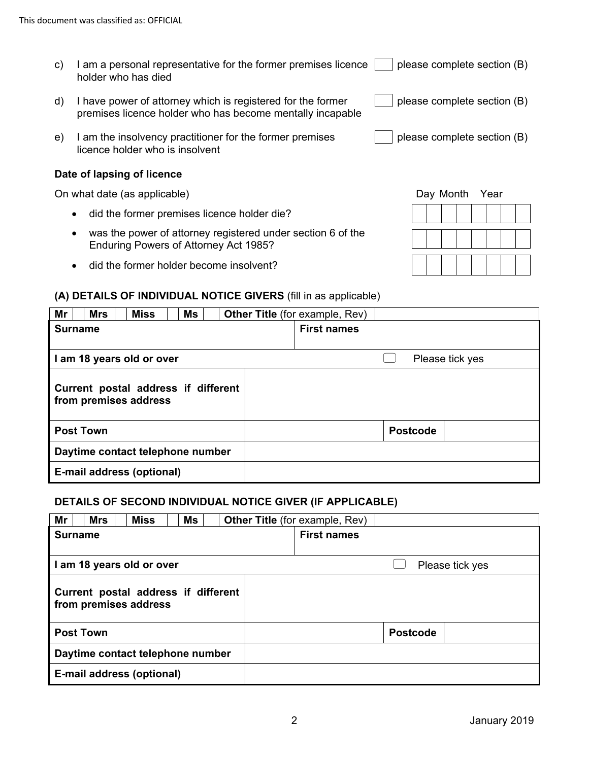- □ please complete section (B) c) I am a personal representative for the former premises licence holder who has died
- d) I have power of attorney which is registered for the former premises licence holder who has become mentally incapable
- e) I am the insolvency practitioner for the former premises licence holder who is insolvent

### **Date of lapsing of licence**

On what date (as applicable)

- did the former premises licence holder die?
- was the power of attorney registered under section 6 of the Enduring Powers of Attorney Act 1985?
- did the former holder become insolvent?

# **(A) DETAILS OF INDIVIDUAL NOTICE GIVERS** (fill in as applicable)

| Mr                                                           |  | <b>Mrs</b> |  | <b>Miss</b>               |  | Ms |                    | <b>Other Title</b> (for example, Rev) |                 |  |
|--------------------------------------------------------------|--|------------|--|---------------------------|--|----|--------------------|---------------------------------------|-----------------|--|
| <b>Surname</b>                                               |  |            |  |                           |  |    | <b>First names</b> |                                       |                 |  |
|                                                              |  |            |  |                           |  |    |                    |                                       |                 |  |
| I am 18 years old or over                                    |  |            |  |                           |  |    |                    |                                       | Please tick yes |  |
| Current postal address if different<br>from premises address |  |            |  |                           |  |    |                    |                                       |                 |  |
| <b>Post Town</b>                                             |  |            |  |                           |  |    |                    | <b>Postcode</b>                       |                 |  |
| Daytime contact telephone number                             |  |            |  |                           |  |    |                    |                                       |                 |  |
|                                                              |  |            |  | E-mail address (optional) |  |    |                    |                                       |                 |  |

# **DETAILS OF SECOND INDIVIDUAL NOTICE GIVER (IF APPLICABLE)**

| Mr                                                           |  | <b>Mrs</b> |  | <b>Miss</b>               |  | Ms |                 | <b>Other Title</b> (for example, Rev) |  |  |
|--------------------------------------------------------------|--|------------|--|---------------------------|--|----|-----------------|---------------------------------------|--|--|
| <b>Surname</b>                                               |  |            |  |                           |  |    |                 | <b>First names</b>                    |  |  |
| I am 18 years old or over                                    |  |            |  |                           |  |    | Please tick yes |                                       |  |  |
| Current postal address if different<br>from premises address |  |            |  |                           |  |    |                 |                                       |  |  |
| <b>Post Town</b>                                             |  |            |  |                           |  |    | <b>Postcode</b> |                                       |  |  |
| Daytime contact telephone number                             |  |            |  |                           |  |    |                 |                                       |  |  |
|                                                              |  |            |  | E-mail address (optional) |  |    |                 |                                       |  |  |

|  | Day Month Year |  |  |  |
|--|----------------|--|--|--|
|  |                |  |  |  |
|  |                |  |  |  |
|  |                |  |  |  |

□ please complete section (B)

□ please complete section (B)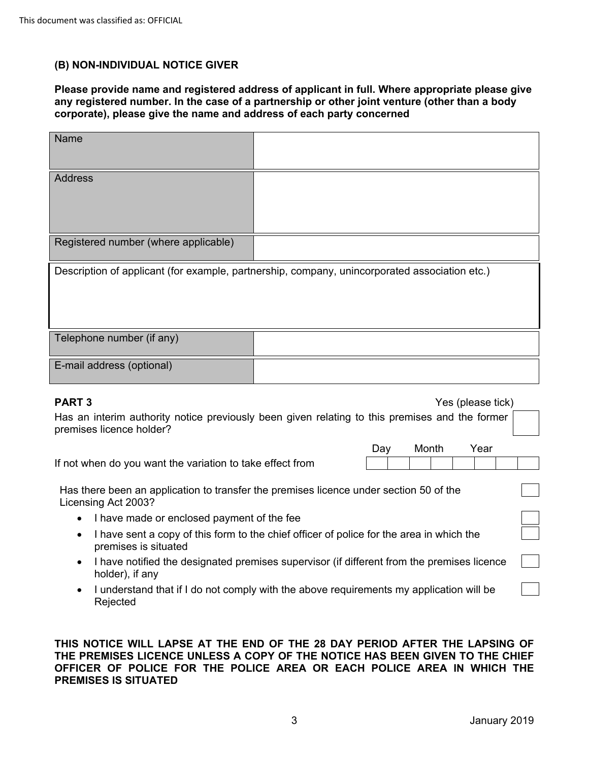### **(B) NON-INDIVIDUAL NOTICE GIVER**

**Please provide name and registered address of applicant in full. Where appropriate please give any registered number. In the case of a partnership or other joint venture (other than a body corporate), please give the name and address of each party concerned** 

| Name           |                                                                                                                            |  |     |       |                   |  |  |
|----------------|----------------------------------------------------------------------------------------------------------------------------|--|-----|-------|-------------------|--|--|
|                |                                                                                                                            |  |     |       |                   |  |  |
| <b>Address</b> |                                                                                                                            |  |     |       |                   |  |  |
|                |                                                                                                                            |  |     |       |                   |  |  |
|                |                                                                                                                            |  |     |       |                   |  |  |
|                |                                                                                                                            |  |     |       |                   |  |  |
|                | Registered number (where applicable)                                                                                       |  |     |       |                   |  |  |
|                | Description of applicant (for example, partnership, company, unincorporated association etc.)                              |  |     |       |                   |  |  |
|                |                                                                                                                            |  |     |       |                   |  |  |
|                |                                                                                                                            |  |     |       |                   |  |  |
|                |                                                                                                                            |  |     |       |                   |  |  |
|                | Telephone number (if any)                                                                                                  |  |     |       |                   |  |  |
|                |                                                                                                                            |  |     |       |                   |  |  |
|                | E-mail address (optional)                                                                                                  |  |     |       |                   |  |  |
|                |                                                                                                                            |  |     |       |                   |  |  |
| <b>PART 3</b>  |                                                                                                                            |  |     |       | Yes (please tick) |  |  |
|                | Has an interim authority notice previously been given relating to this premises and the former<br>premises licence holder? |  |     |       |                   |  |  |
|                |                                                                                                                            |  | Day | Month | Year              |  |  |
|                | If not when do you want the variation to take effect from                                                                  |  |     |       |                   |  |  |
|                | Has there been an application to transfer the premises licence under section 50 of the<br>Licensing Act 2003?              |  |     |       |                   |  |  |
|                | I have made or enclosed payment of the fee                                                                                 |  |     |       |                   |  |  |
| $\bullet$      | I have sent a copy of this form to the chief officer of police for the area in which the<br>premises is situated           |  |     |       |                   |  |  |
|                | I have notified the designated premises supervisor (if different from the premises licence<br>holder), if any              |  |     |       |                   |  |  |
|                | I understand that if I do not comply with the above requirements my application will be<br>Rejected                        |  |     |       |                   |  |  |

### **THIS NOTICE WILL LAPSE AT THE END OF THE 28 DAY PERIOD AFTER THE LAPSING OF THE PREMISES LICENCE UNLESS A COPY OF THE NOTICE HAS BEEN GIVEN TO THE CHIEF OFFICER OF POLICE FOR THE POLICE AREA OR EACH POLICE AREA IN WHICH THE PREMISES IS SITUATED**